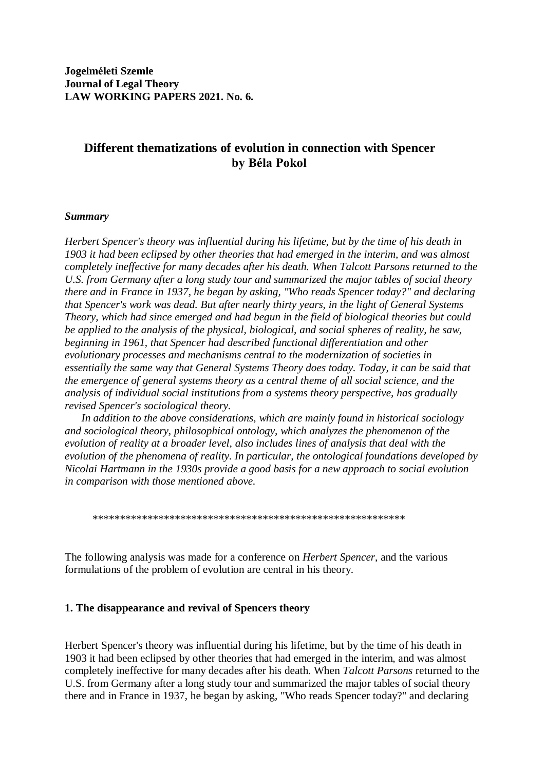# **Different thematizations of evolution in connection with Spencer by Béla Pokol**

# *Summary*

*Herbert Spencer's theory was influential during his lifetime, but by the time of his death in 1903 it had been eclipsed by other theories that had emerged in the interim, and was almost completely ineffective for many decades after his death. When Talcott Parsons returned to the U.S. from Germany after a long study tour and summarized the major tables of social theory there and in France in 1937, he began by asking, "Who reads Spencer today?" and declaring that Spencer's work was dead. But after nearly thirty years, in the light of General Systems Theory, which had since emerged and had begun in the field of biological theories but could be applied to the analysis of the physical, biological, and social spheres of reality, he saw, beginning in 1961, that Spencer had described functional differentiation and other evolutionary processes and mechanisms central to the modernization of societies in essentially the same way that General Systems Theory does today. Today, it can be said that the emergence of general systems theory as a central theme of all social science, and the analysis of individual social institutions from a systems theory perspective, has gradually revised Spencer's sociological theory.* 

 *In addition to the above considerations, which are mainly found in historical sociology and sociological theory, philosophical ontology, which analyzes the phenomenon of the evolution of reality at a broader level, also includes lines of analysis that deal with the evolution of the phenomena of reality. In particular, the ontological foundations developed by Nicolai Hartmann in the 1930s provide a good basis for a new approach to social evolution in comparison with those mentioned above.*

\*\*\*\*\*\*\*\*\*\*\*\*\*\*\*\*\*\*\*\*\*\*\*\*\*\*\*\*\*\*\*\*\*\*\*\*\*\*\*\*\*\*\*\*\*\*\*\*\*\*\*\*\*\*\*\*\*

The following analysis was made for a conference on *Herbert Spencer*, and the various formulations of the problem of evolution are central in his theory.

### **1. The disappearance and revival of Spencers theory**

Herbert Spencer's theory was influential during his lifetime, but by the time of his death in 1903 it had been eclipsed by other theories that had emerged in the interim, and was almost completely ineffective for many decades after his death. When *Talcott Parsons* returned to the U.S. from Germany after a long study tour and summarized the major tables of social theory there and in France in 1937, he began by asking, "Who reads Spencer today?" and declaring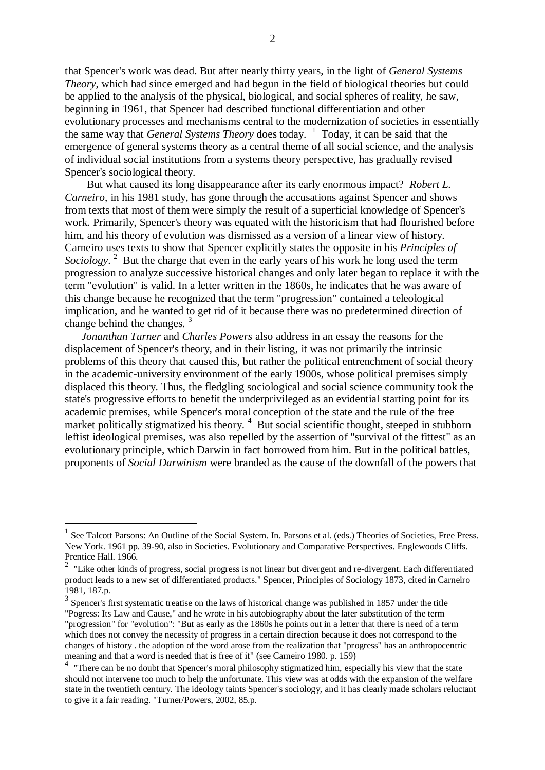that Spencer's work was dead. But after nearly thirty years, in the light of *General Systems Theory*, which had since emerged and had begun in the field of biological theories but could be applied to the analysis of the physical, biological, and social spheres of reality, he saw, beginning in 1961, that Spencer had described functional differentiation and other evolutionary processes and mechanisms central to the modernization of societies in essentially the same way that *General Systems Theory* does today. <sup>1</sup> Today, it can be said that the emergence of general systems theory as a central theme of all social science, and the analysis of individual social institutions from a systems theory perspective, has gradually revised Spencer's sociological theory.

 But what caused its long disappearance after its early enormous impact? *Robert L. Carneiro*, in his 1981 study, has gone through the accusations against Spencer and shows from texts that most of them were simply the result of a superficial knowledge of Spencer's work. Primarily, Spencer's theory was equated with the historicism that had flourished before him, and his theory of evolution was dismissed as a version of a linear view of history. Carneiro uses texts to show that Spencer explicitly states the opposite in his *Principles of*  Sociology.<sup>2</sup> But the charge that even in the early years of his work he long used the term progression to analyze successive historical changes and only later began to replace it with the term "evolution" is valid. In a letter written in the 1860s, he indicates that he was aware of this change because he recognized that the term "progression" contained a teleological implication, and he wanted to get rid of it because there was no predetermined direction of change behind the changes.<sup>3</sup>

 *Jonanthan Turner* and *Charles Powers* also address in an essay the reasons for the displacement of Spencer's theory, and in their listing, it was not primarily the intrinsic problems of this theory that caused this, but rather the political entrenchment of social theory in the academic-university environment of the early 1900s, whose political premises simply displaced this theory. Thus, the fledgling sociological and social science community took the state's progressive efforts to benefit the underprivileged as an evidential starting point for its academic premises, while Spencer's moral conception of the state and the rule of the free market politically stigmatized his theory.<sup>4</sup> But social scientific thought, steeped in stubborn leftist ideological premises, was also repelled by the assertion of "survival of the fittest" as an evolutionary principle, which Darwin in fact borrowed from him. But in the political battles, proponents of *Social Darwinism* were branded as the cause of the downfall of the powers that

<u>.</u>

<sup>&</sup>lt;sup>1</sup> See Talcott Parsons: An Outline of the Social System. In. Parsons et al. (eds.) Theories of Societies, Free Press. New York. 1961 pp. 39-90, also in Societies. Evolutionary and Comparative Perspectives. Englewoods Cliffs. Prentice Hall. 1966.

 $2$  "Like other kinds of progress, social progress is not linear but divergent and re-divergent. Each differentiated product leads to a new set of differentiated products." Spencer, Principles of Sociology 1873, cited in Carneiro 1981, 187.p.

<sup>&</sup>lt;sup>3</sup> Spencer's first systematic treatise on the laws of historical change was published in 1857 under the title "Pogress: Its Law and Cause," and he wrote in his autobiography about the later substitution of the term "progression" for "evolution": "But as early as the 1860s he points out in a letter that there is need of a term which does not convey the necessity of progress in a certain direction because it does not correspond to the changes of history . the adoption of the word arose from the realization that "progress" has an anthropocentric meaning and that a word is needed that is free of it" (see Carneiro 1980. p. 159)

<sup>&</sup>lt;sup>4</sup> "There can be no doubt that Spencer's moral philosophy stigmatized him, especially his view that the state should not intervene too much to help the unfortunate. This view was at odds with the expansion of the welfare state in the twentieth century. The ideology taints Spencer's sociology, and it has clearly made scholars reluctant to give it a fair reading. "Turner/Powers, 2002, 85.p.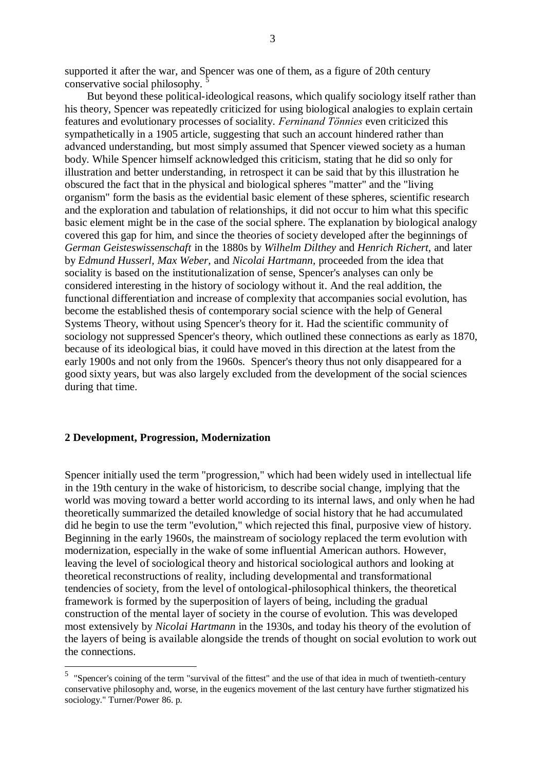supported it after the war, and Spencer was one of them, as a figure of 20th century conservative social philosophy.

 But beyond these political-ideological reasons, which qualify sociology itself rather than his theory, Spencer was repeatedly criticized for using biological analogies to explain certain features and evolutionary processes of sociality. *Ferninand Tönnies* even criticized this sympathetically in a 1905 article, suggesting that such an account hindered rather than advanced understanding, but most simply assumed that Spencer viewed society as a human body. While Spencer himself acknowledged this criticism, stating that he did so only for illustration and better understanding, in retrospect it can be said that by this illustration he obscured the fact that in the physical and biological spheres "matter" and the "living organism" form the basis as the evidential basic element of these spheres, scientific research and the exploration and tabulation of relationships, it did not occur to him what this specific basic element might be in the case of the social sphere. The explanation by biological analogy covered this gap for him, and since the theories of society developed after the beginnings of *German Geisteswissenschaft* in the 1880s by *Wilhelm Dilthey* and *Henrich Richert,* and later by *Edmund Husserl, Max Weber,* and *Nicolai Hartmann,* proceeded from the idea that sociality is based on the institutionalization of sense, Spencer's analyses can only be considered interesting in the history of sociology without it. And the real addition, the functional differentiation and increase of complexity that accompanies social evolution, has become the established thesis of contemporary social science with the help of General Systems Theory, without using Spencer's theory for it. Had the scientific community of sociology not suppressed Spencer's theory, which outlined these connections as early as 1870, because of its ideological bias, it could have moved in this direction at the latest from the early 1900s and not only from the 1960s. Spencer's theory thus not only disappeared for a good sixty years, but was also largely excluded from the development of the social sciences during that time.

### **2 Development, Progression, Modernization**

1

Spencer initially used the term "progression," which had been widely used in intellectual life in the 19th century in the wake of historicism, to describe social change, implying that the world was moving toward a better world according to its internal laws, and only when he had theoretically summarized the detailed knowledge of social history that he had accumulated did he begin to use the term "evolution," which rejected this final, purposive view of history. Beginning in the early 1960s, the mainstream of sociology replaced the term evolution with modernization, especially in the wake of some influential American authors. However, leaving the level of sociological theory and historical sociological authors and looking at theoretical reconstructions of reality, including developmental and transformational tendencies of society, from the level of ontological-philosophical thinkers, the theoretical framework is formed by the superposition of layers of being, including the gradual construction of the mental layer of society in the course of evolution. This was developed most extensively by *Nicolai Hartmann* in the 1930s, and today his theory of the evolution of the layers of being is available alongside the trends of thought on social evolution to work out the connections.

<sup>&</sup>lt;sup>5</sup> "Spencer's coining of the term "survival of the fittest" and the use of that idea in much of twentieth-century conservative philosophy and, worse, in the eugenics movement of the last century have further stigmatized his sociology." Turner/Power 86. p.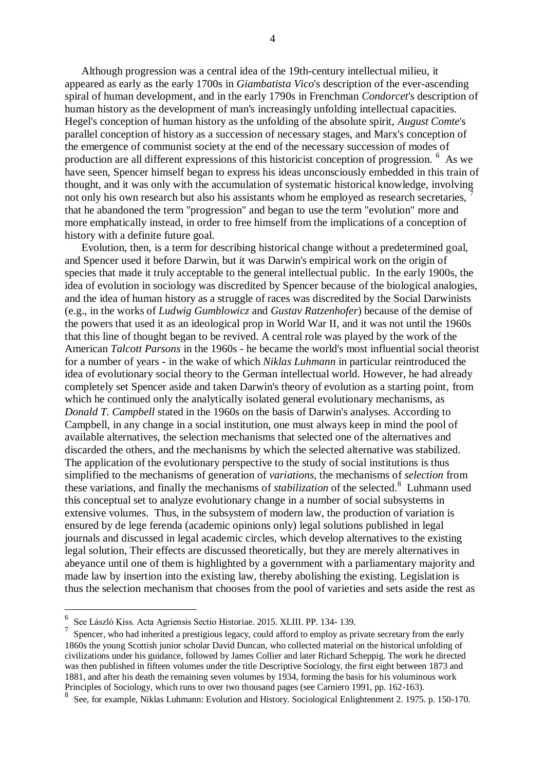Although progression was a central idea of the 19th-century intellectual milieu, it appeared as early as the early 1700s in *Giambatista Vico*'s description of the ever-ascending spiral of human development, and in the early 1790s in Frenchman *Condorcet*'s description of human history as the development of man's increasingly unfolding intellectual capacities. Hegel's conception of human history as the unfolding of the absolute spirit, *August Comte*'s parallel conception of history as a succession of necessary stages, and Marx's conception of the emergence of communist society at the end of the necessary succession of modes of production are all different expressions of this historicist conception of progression. <sup>6</sup> As we have seen, Spencer himself began to express his ideas unconsciously embedded in this train of thought, and it was only with the accumulation of systematic historical knowledge, involving not only his own research but also his assistants whom he employed as research secretaries, <sup>7</sup> that he abandoned the term "progression" and began to use the term "evolution" more and more emphatically instead, in order to free himself from the implications of a conception of history with a definite future goal.

 Evolution, then, is a term for describing historical change without a predetermined goal, and Spencer used it before Darwin, but it was Darwin's empirical work on the origin of species that made it truly acceptable to the general intellectual public. In the early 1900s, the idea of evolution in sociology was discredited by Spencer because of the biological analogies, and the idea of human history as a struggle of races was discredited by the Social Darwinists (e.g., in the works of *Ludwig Gumblowicz* and *Gustav Ratzenhofer*) because of the demise of the powers that used it as an ideological prop in World War II, and it was not until the 1960s that this line of thought began to be revived. A central role was played by the work of the American *Talcott Parsons* in the 1960s - he became the world's most influential social theorist for a number of years - in the wake of which *Niklas Luhmann* in particular reintroduced the idea of evolutionary social theory to the German intellectual world. However, he had already completely set Spencer aside and taken Darwin's theory of evolution as a starting point, from which he continued only the analytically isolated general evolutionary mechanisms, as *Donald T. Campbell* stated in the 1960s on the basis of Darwin's analyses. According to Campbell, in any change in a social institution, one must always keep in mind the pool of available alternatives, the selection mechanisms that selected one of the alternatives and discarded the others, and the mechanisms by which the selected alternative was stabilized. The application of the evolutionary perspective to the study of social institutions is thus simplified to the mechanisms of generation of *variations*, the mechanisms of *selection* from these variations, and finally the mechanisms of *stabilization* of the selected.<sup>8</sup> Luhmann used this conceptual set to analyze evolutionary change in a number of social subsystems in extensive volumes. Thus, in the subsystem of modern law, the production of variation is ensured by de lege ferenda (academic opinions only) legal solutions published in legal journals and discussed in legal academic circles, which develop alternatives to the existing legal solution, Their effects are discussed theoretically, but they are merely alternatives in abeyance until one of them is highlighted by a government with a parliamentary majority and made law by insertion into the existing law, thereby abolishing the existing. Legislation is thus the selection mechanism that chooses from the pool of varieties and sets aside the rest as

<sup>6</sup> See László Kiss. Acta Agriensis Sectio Historiae. 2015. XLIII. PP. 134- 139.

<sup>7</sup> Spencer, who had inherited a prestigious legacy, could afford to employ as private secretary from the early 1860s the young Scottish junior scholar David Duncan, who collected material on the historical unfolding of civilizations under his guidance, followed by James Collier and later Richard Scheppig. The work he directed was then published in fifteen volumes under the title Descriptive Sociology, the first eight between 1873 and 1881, and after his death the remaining seven volumes by 1934, forming the basis for his voluminous work Principles of Sociology, which runs to over two thousand pages (see Carniero 1991, pp. 162-163). 8

See, for example, Niklas Luhmann: Evolution and History. Sociological Enlightenment 2. 1975. p. 150-170.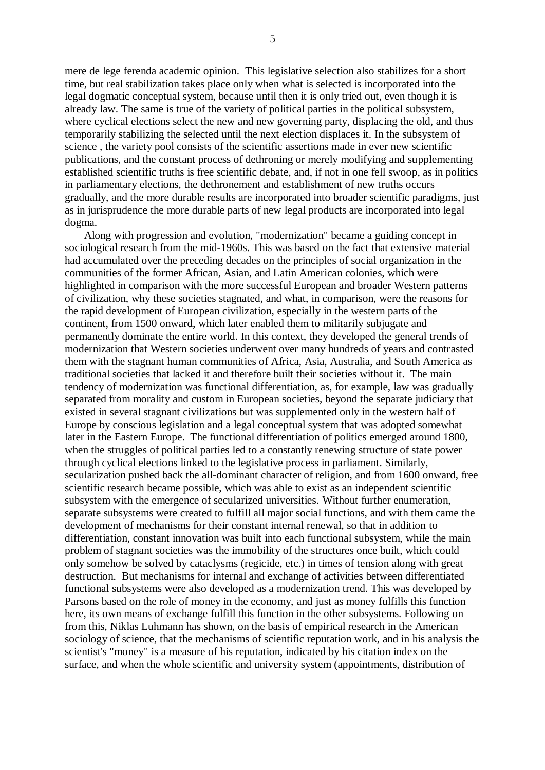mere de lege ferenda academic opinion. This legislative selection also stabilizes for a short time, but real stabilization takes place only when what is selected is incorporated into the legal dogmatic conceptual system, because until then it is only tried out, even though it is already law. The same is true of the variety of political parties in the political subsystem, where cyclical elections select the new and new governing party, displacing the old, and thus temporarily stabilizing the selected until the next election displaces it. In the subsystem of science , the variety pool consists of the scientific assertions made in ever new scientific publications, and the constant process of dethroning or merely modifying and supplementing established scientific truths is free scientific debate, and, if not in one fell swoop, as in politics in parliamentary elections, the dethronement and establishment of new truths occurs gradually, and the more durable results are incorporated into broader scientific paradigms, just as in jurisprudence the more durable parts of new legal products are incorporated into legal dogma.

 Along with progression and evolution, "modernization" became a guiding concept in sociological research from the mid-1960s. This was based on the fact that extensive material had accumulated over the preceding decades on the principles of social organization in the communities of the former African, Asian, and Latin American colonies, which were highlighted in comparison with the more successful European and broader Western patterns of civilization, why these societies stagnated, and what, in comparison, were the reasons for the rapid development of European civilization, especially in the western parts of the continent, from 1500 onward, which later enabled them to militarily subjugate and permanently dominate the entire world. In this context, they developed the general trends of modernization that Western societies underwent over many hundreds of years and contrasted them with the stagnant human communities of Africa, Asia, Australia, and South America as traditional societies that lacked it and therefore built their societies without it. The main tendency of modernization was functional differentiation, as, for example, law was gradually separated from morality and custom in European societies, beyond the separate judiciary that existed in several stagnant civilizations but was supplemented only in the western half of Europe by conscious legislation and a legal conceptual system that was adopted somewhat later in the Eastern Europe. The functional differentiation of politics emerged around 1800, when the struggles of political parties led to a constantly renewing structure of state power through cyclical elections linked to the legislative process in parliament. Similarly, secularization pushed back the all-dominant character of religion, and from 1600 onward, free scientific research became possible, which was able to exist as an independent scientific subsystem with the emergence of secularized universities. Without further enumeration, separate subsystems were created to fulfill all major social functions, and with them came the development of mechanisms for their constant internal renewal, so that in addition to differentiation, constant innovation was built into each functional subsystem, while the main problem of stagnant societies was the immobility of the structures once built, which could only somehow be solved by cataclysms (regicide, etc.) in times of tension along with great destruction. But mechanisms for internal and exchange of activities between differentiated functional subsystems were also developed as a modernization trend. This was developed by Parsons based on the role of money in the economy, and just as money fulfills this function here, its own means of exchange fulfill this function in the other subsystems. Following on from this, Niklas Luhmann has shown, on the basis of empirical research in the American sociology of science, that the mechanisms of scientific reputation work, and in his analysis the scientist's "money" is a measure of his reputation, indicated by his citation index on the surface, and when the whole scientific and university system (appointments, distribution of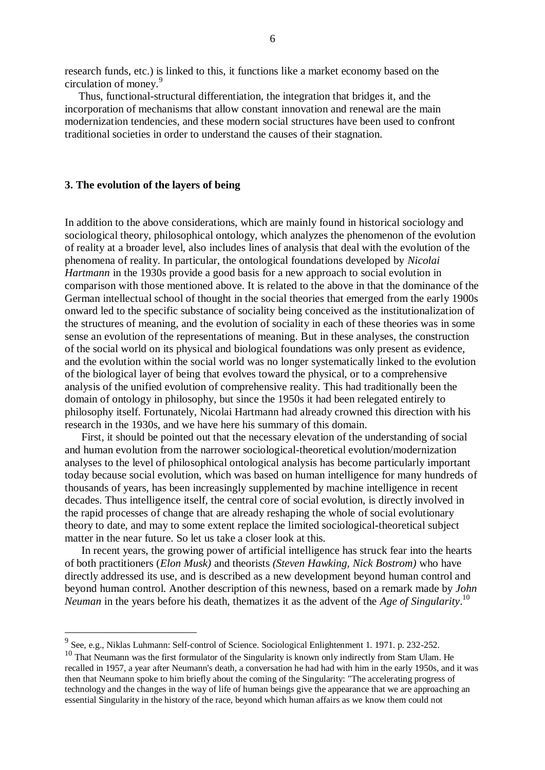research funds, etc.) is linked to this, it functions like a market economy based on the circulation of money.<sup>9</sup>

 Thus, functional-structural differentiation, the integration that bridges it, and the incorporation of mechanisms that allow constant innovation and renewal are the main modernization tendencies, and these modern social structures have been used to confront traditional societies in order to understand the causes of their stagnation.

#### **3. The evolution of the layers of being**

In addition to the above considerations, which are mainly found in historical sociology and sociological theory, philosophical ontology, which analyzes the phenomenon of the evolution of reality at a broader level, also includes lines of analysis that deal with the evolution of the phenomena of reality. In particular, the ontological foundations developed by *Nicolai Hartmann* in the 1930s provide a good basis for a new approach to social evolution in comparison with those mentioned above. It is related to the above in that the dominance of the German intellectual school of thought in the social theories that emerged from the early 1900s onward led to the specific substance of sociality being conceived as the institutionalization of the structures of meaning, and the evolution of sociality in each of these theories was in some sense an evolution of the representations of meaning. But in these analyses, the construction of the social world on its physical and biological foundations was only present as evidence, and the evolution within the social world was no longer systematically linked to the evolution of the biological layer of being that evolves toward the physical, or to a comprehensive analysis of the unified evolution of comprehensive reality. This had traditionally been the domain of ontology in philosophy, but since the 1950s it had been relegated entirely to philosophy itself. Fortunately, Nicolai Hartmann had already crowned this direction with his research in the 1930s, and we have here his summary of this domain.

 First, it should be pointed out that the necessary elevation of the understanding of social and human evolution from the narrower sociological-theoretical evolution/modernization analyses to the level of philosophical ontological analysis has become particularly important today because social evolution, which was based on human intelligence for many hundreds of thousands of years, has been increasingly supplemented by machine intelligence in recent decades. Thus intelligence itself, the central core of social evolution, is directly involved in the rapid processes of change that are already reshaping the whole of social evolutionary theory to date, and may to some extent replace the limited sociological-theoretical subject matter in the near future. So let us take a closer look at this.

 In recent years, the growing power of artificial intelligence has struck fear into the hearts of both practitioners (*Elon Musk)* and theorists *(Steven Hawking, Nick Bostrom)* who have directly addressed its use, and is described as a new development beyond human control and beyond human control. Another description of this newness, based on a remark made by *John Neuman* in the years before his death, thematizes it as the advent of the *Age of Singularity*. 10

 9 See, e.g., Niklas Luhmann: Self-control of Science. Sociological Enlightenment 1. 1971. p. 232-252.

<sup>&</sup>lt;sup>10</sup> That Neumann was the first formulator of the Singularity is known only indirectly from Stam Ulam. He recalled in 1957, a year after Neumann's death, a conversation he had had with him in the early 1950s, and it was then that Neumann spoke to him briefly about the coming of the Singularity: "The accelerating progress of technology and the changes in the way of life of human beings give the appearance that we are approaching an essential Singularity in the history of the race, beyond which human affairs as we know them could not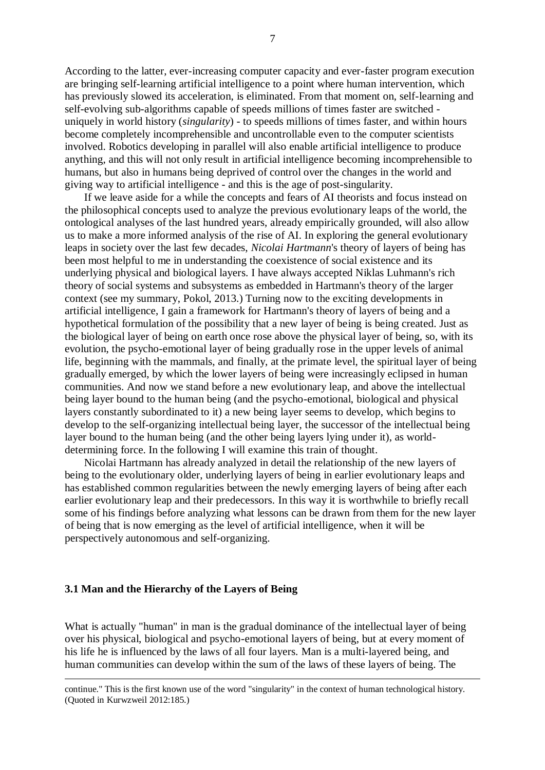According to the latter, ever-increasing computer capacity and ever-faster program execution are bringing self-learning artificial intelligence to a point where human intervention, which has previously slowed its acceleration, is eliminated. From that moment on, self-learning and self-evolving sub-algorithms capable of speeds millions of times faster are switched uniquely in world history (*singularity*) - to speeds millions of times faster, and within hours become completely incomprehensible and uncontrollable even to the computer scientists involved. Robotics developing in parallel will also enable artificial intelligence to produce anything, and this will not only result in artificial intelligence becoming incomprehensible to humans, but also in humans being deprived of control over the changes in the world and giving way to artificial intelligence - and this is the age of post-singularity.

 If we leave aside for a while the concepts and fears of AI theorists and focus instead on the philosophical concepts used to analyze the previous evolutionary leaps of the world, the ontological analyses of the last hundred years, already empirically grounded, will also allow us to make a more informed analysis of the rise of AI. In exploring the general evolutionary leaps in society over the last few decades, *Nicolai Hartmann*'s theory of layers of being has been most helpful to me in understanding the coexistence of social existence and its underlying physical and biological layers. I have always accepted Niklas Luhmann's rich theory of social systems and subsystems as embedded in Hartmann's theory of the larger context (see my summary, Pokol, 2013.) Turning now to the exciting developments in artificial intelligence, I gain a framework for Hartmann's theory of layers of being and a hypothetical formulation of the possibility that a new layer of being is being created. Just as the biological layer of being on earth once rose above the physical layer of being, so, with its evolution, the psycho-emotional layer of being gradually rose in the upper levels of animal life, beginning with the mammals, and finally, at the primate level, the spiritual layer of being gradually emerged, by which the lower layers of being were increasingly eclipsed in human communities. And now we stand before a new evolutionary leap, and above the intellectual being layer bound to the human being (and the psycho-emotional, biological and physical layers constantly subordinated to it) a new being layer seems to develop, which begins to develop to the self-organizing intellectual being layer, the successor of the intellectual being layer bound to the human being (and the other being layers lying under it), as worlddetermining force. In the following I will examine this train of thought.

 Nicolai Hartmann has already analyzed in detail the relationship of the new layers of being to the evolutionary older, underlying layers of being in earlier evolutionary leaps and has established common regularities between the newly emerging layers of being after each earlier evolutionary leap and their predecessors. In this way it is worthwhile to briefly recall some of his findings before analyzing what lessons can be drawn from them for the new layer of being that is now emerging as the level of artificial intelligence, when it will be perspectively autonomous and self-organizing.

### **3.1 Man and the Hierarchy of the Layers of Being**

<u>.</u>

What is actually "human" in man is the gradual dominance of the intellectual layer of being over his physical, biological and psycho-emotional layers of being, but at every moment of his life he is influenced by the laws of all four layers. Man is a multi-layered being, and human communities can develop within the sum of the laws of these layers of being. The

continue." This is the first known use of the word "singularity" in the context of human technological history. (Quoted in Kurwzweil 2012:185.)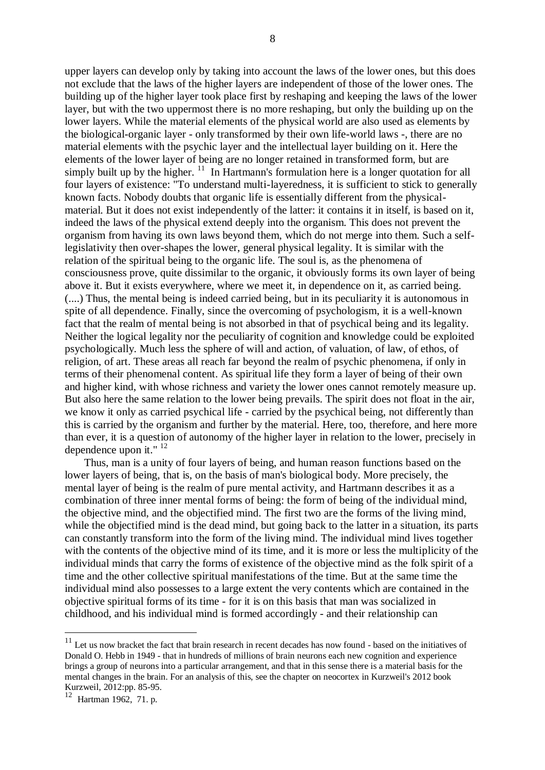upper layers can develop only by taking into account the laws of the lower ones, but this does not exclude that the laws of the higher layers are independent of those of the lower ones. The building up of the higher layer took place first by reshaping and keeping the laws of the lower layer, but with the two uppermost there is no more reshaping, but only the building up on the lower layers. While the material elements of the physical world are also used as elements by the biological-organic layer - only transformed by their own life-world laws -, there are no material elements with the psychic layer and the intellectual layer building on it. Here the elements of the lower layer of being are no longer retained in transformed form, but are simply built up by the higher.  $11$  In Hartmann's formulation here is a longer quotation for all four layers of existence: "To understand multi-layeredness, it is sufficient to stick to generally known facts. Nobody doubts that organic life is essentially different from the physicalmaterial. But it does not exist independently of the latter: it contains it in itself, is based on it, indeed the laws of the physical extend deeply into the organism. This does not prevent the organism from having its own laws beyond them, which do not merge into them. Such a selflegislativity then over-shapes the lower, general physical legality. It is similar with the relation of the spiritual being to the organic life. The soul is, as the phenomena of consciousness prove, quite dissimilar to the organic, it obviously forms its own layer of being above it. But it exists everywhere, where we meet it, in dependence on it, as carried being. (....) Thus, the mental being is indeed carried being, but in its peculiarity it is autonomous in spite of all dependence. Finally, since the overcoming of psychologism, it is a well-known fact that the realm of mental being is not absorbed in that of psychical being and its legality. Neither the logical legality nor the peculiarity of cognition and knowledge could be exploited psychologically. Much less the sphere of will and action, of valuation, of law, of ethos, of religion, of art. These areas all reach far beyond the realm of psychic phenomena, if only in terms of their phenomenal content. As spiritual life they form a layer of being of their own and higher kind, with whose richness and variety the lower ones cannot remotely measure up. But also here the same relation to the lower being prevails. The spirit does not float in the air, we know it only as carried psychical life - carried by the psychical being, not differently than this is carried by the organism and further by the material. Here, too, therefore, and here more than ever, it is a question of autonomy of the higher layer in relation to the lower, precisely in dependence upon it."<sup>12</sup>

 Thus, man is a unity of four layers of being, and human reason functions based on the lower layers of being, that is, on the basis of man's biological body. More precisely, the mental layer of being is the realm of pure mental activity, and Hartmann describes it as a combination of three inner mental forms of being: the form of being of the individual mind, the objective mind, and the objectified mind. The first two are the forms of the living mind, while the objectified mind is the dead mind, but going back to the latter in a situation, its parts can constantly transform into the form of the living mind. The individual mind lives together with the contents of the objective mind of its time, and it is more or less the multiplicity of the individual minds that carry the forms of existence of the objective mind as the folk spirit of a time and the other collective spiritual manifestations of the time. But at the same time the individual mind also possesses to a large extent the very contents which are contained in the objective spiritual forms of its time - for it is on this basis that man was socialized in childhood, and his individual mind is formed accordingly - and their relationship can

 $11$  Let us now bracket the fact that brain research in recent decades has now found - based on the initiatives of Donald O. Hebb in 1949 - that in hundreds of millions of brain neurons each new cognition and experience brings a group of neurons into a particular arrangement, and that in this sense there is a material basis for the mental changes in the brain. For an analysis of this, see the chapter on neocortex in Kurzweil's 2012 book Kurzweil, 2012:pp. 85-95.

Hartman 1962, 71. p.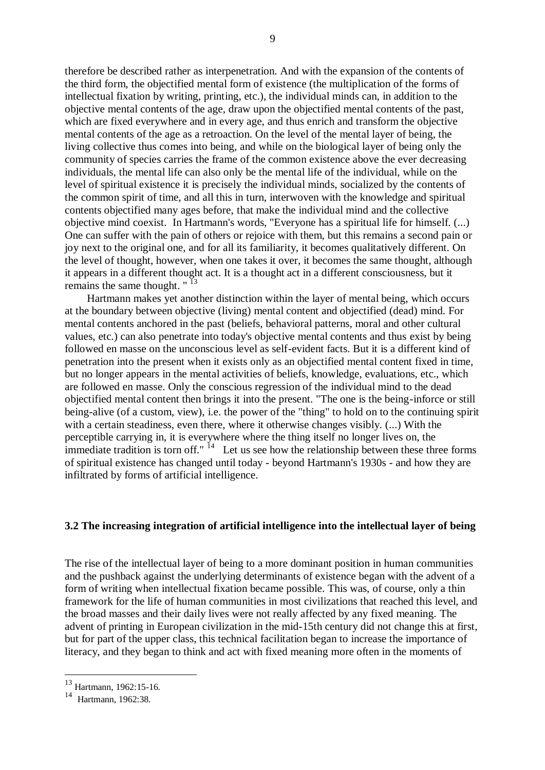therefore be described rather as interpenetration. And with the expansion of the contents of the third form, the objectified mental form of existence (the multiplication of the forms of intellectual fixation by writing, printing, etc.), the individual minds can, in addition to the objective mental contents of the age, draw upon the objectified mental contents of the past, which are fixed everywhere and in every age, and thus enrich and transform the objective mental contents of the age as a retroaction. On the level of the mental layer of being, the living collective thus comes into being, and while on the biological layer of being only the community of species carries the frame of the common existence above the ever decreasing individuals, the mental life can also only be the mental life of the individual, while on the level of spiritual existence it is precisely the individual minds, socialized by the contents of the common spirit of time, and all this in turn, interwoven with the knowledge and spiritual contents objectified many ages before, that make the individual mind and the collective objective mind coexist. In Hartmann's words, "Everyone has a spiritual life for himself. (...) One can suffer with the pain of others or rejoice with them, but this remains a second pain or joy next to the original one, and for all its familiarity, it becomes qualitatively different. On the level of thought, however, when one takes it over, it becomes the same thought, although it appears in a different thought act. It is a thought act in a different consciousness, but it remains the same thought. " $^{13}$ 

 Hartmann makes yet another distinction within the layer of mental being, which occurs at the boundary between objective (living) mental content and objectified (dead) mind. For mental contents anchored in the past (beliefs, behavioral patterns, moral and other cultural values, etc.) can also penetrate into today's objective mental contents and thus exist by being followed en masse on the unconscious level as self-evident facts. But it is a different kind of penetration into the present when it exists only as an objectified mental content fixed in time, but no longer appears in the mental activities of beliefs, knowledge, evaluations, etc., which are followed en masse. Only the conscious regression of the individual mind to the dead objectified mental content then brings it into the present. "The one is the being-inforce or still being-alive (of a custom, view), i.e. the power of the "thing" to hold on to the continuing spirit with a certain steadiness, even there, where it otherwise changes visibly. (...) With the perceptible carrying in, it is everywhere where the thing itself no longer lives on, the immediate tradition is torn off."  $^{14}$  Let us see how the relationship between these three forms of spiritual existence has changed until today - beyond Hartmann's 1930s - and how they are infiltrated by forms of artificial intelligence.

# **3.2 The increasing integration of artificial intelligence into the intellectual layer of being**

The rise of the intellectual layer of being to a more dominant position in human communities and the pushback against the underlying determinants of existence began with the advent of a form of writing when intellectual fixation became possible. This was, of course, only a thin framework for the life of human communities in most civilizations that reached this level, and the broad masses and their daily lives were not really affected by any fixed meaning. The advent of printing in European civilization in the mid-15th century did not change this at first, but for part of the upper class, this technical facilitation began to increase the importance of literacy, and they began to think and act with fixed meaning more often in the moments of

<sup>13</sup> Hartmann, 1962:15-16.

<sup>&</sup>lt;sup>14</sup> Hartmann, 1962:38.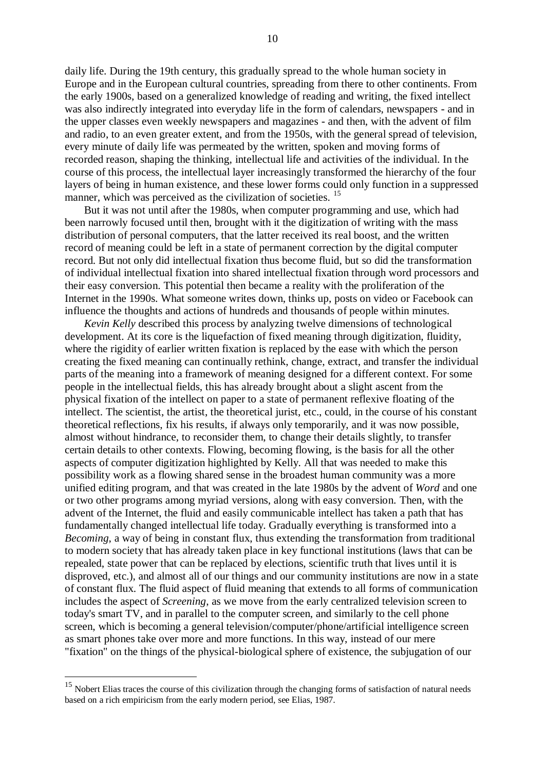daily life. During the 19th century, this gradually spread to the whole human society in Europe and in the European cultural countries, spreading from there to other continents. From the early 1900s, based on a generalized knowledge of reading and writing, the fixed intellect was also indirectly integrated into everyday life in the form of calendars, newspapers - and in the upper classes even weekly newspapers and magazines - and then, with the advent of film and radio, to an even greater extent, and from the 1950s, with the general spread of television, every minute of daily life was permeated by the written, spoken and moving forms of recorded reason, shaping the thinking, intellectual life and activities of the individual. In the course of this process, the intellectual layer increasingly transformed the hierarchy of the four layers of being in human existence, and these lower forms could only function in a suppressed manner, which was perceived as the civilization of societies.<sup>15</sup>

 But it was not until after the 1980s, when computer programming and use, which had been narrowly focused until then, brought with it the digitization of writing with the mass distribution of personal computers, that the latter received its real boost, and the written record of meaning could be left in a state of permanent correction by the digital computer record. But not only did intellectual fixation thus become fluid, but so did the transformation of individual intellectual fixation into shared intellectual fixation through word processors and their easy conversion. This potential then became a reality with the proliferation of the Internet in the 1990s. What someone writes down, thinks up, posts on video or Facebook can influence the thoughts and actions of hundreds and thousands of people within minutes.

 *Kevin Kelly* described this process by analyzing twelve dimensions of technological development. At its core is the liquefaction of fixed meaning through digitization, fluidity, where the rigidity of earlier written fixation is replaced by the ease with which the person creating the fixed meaning can continually rethink, change, extract, and transfer the individual parts of the meaning into a framework of meaning designed for a different context. For some people in the intellectual fields, this has already brought about a slight ascent from the physical fixation of the intellect on paper to a state of permanent reflexive floating of the intellect. The scientist, the artist, the theoretical jurist, etc., could, in the course of his constant theoretical reflections, fix his results, if always only temporarily, and it was now possible, almost without hindrance, to reconsider them, to change their details slightly, to transfer certain details to other contexts. Flowing, becoming flowing, is the basis for all the other aspects of computer digitization highlighted by Kelly. All that was needed to make this possibility work as a flowing shared sense in the broadest human community was a more unified editing program, and that was created in the late 1980s by the advent of *Word* and one or two other programs among myriad versions, along with easy conversion. Then, with the advent of the Internet, the fluid and easily communicable intellect has taken a path that has fundamentally changed intellectual life today. Gradually everything is transformed into a *Becoming*, a way of being in constant flux, thus extending the transformation from traditional to modern society that has already taken place in key functional institutions (laws that can be repealed, state power that can be replaced by elections, scientific truth that lives until it is disproved, etc.), and almost all of our things and our community institutions are now in a state of constant flux. The fluid aspect of fluid meaning that extends to all forms of communication includes the aspect of *Screening*, as we move from the early centralized television screen to today's smart TV, and in parallel to the computer screen, and similarly to the cell phone screen, which is becoming a general television/computer/phone/artificial intelligence screen as smart phones take over more and more functions. In this way, instead of our mere "fixation" on the things of the physical-biological sphere of existence, the subjugation of our

<u>.</u>

 $15$  Nobert Elias traces the course of this civilization through the changing forms of satisfaction of natural needs based on a rich empiricism from the early modern period, see Elias, 1987.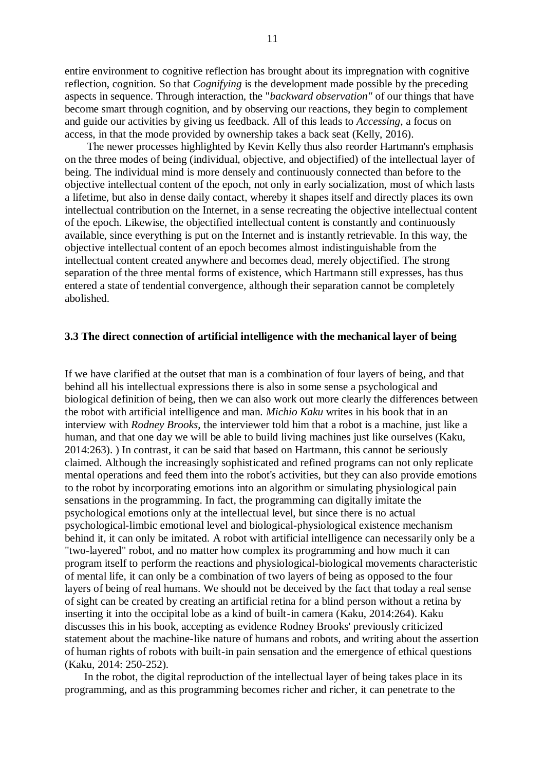entire environment to cognitive reflection has brought about its impregnation with cognitive reflection, cognition. So that *Cognifying* is the development made possible by the preceding aspects in sequence. Through interaction, the "*backward observation"* of our things that have become smart through cognition, and by observing our reactions, they begin to complement and guide our activities by giving us feedback. All of this leads to *Accessing*, a focus on access, in that the mode provided by ownership takes a back seat (Kelly, 2016).

 The newer processes highlighted by Kevin Kelly thus also reorder Hartmann's emphasis on the three modes of being (individual, objective, and objectified) of the intellectual layer of being. The individual mind is more densely and continuously connected than before to the objective intellectual content of the epoch, not only in early socialization, most of which lasts a lifetime, but also in dense daily contact, whereby it shapes itself and directly places its own intellectual contribution on the Internet, in a sense recreating the objective intellectual content of the epoch. Likewise, the objectified intellectual content is constantly and continuously available, since everything is put on the Internet and is instantly retrievable. In this way, the objective intellectual content of an epoch becomes almost indistinguishable from the intellectual content created anywhere and becomes dead, merely objectified. The strong separation of the three mental forms of existence, which Hartmann still expresses, has thus entered a state of tendential convergence, although their separation cannot be completely abolished.

#### **3.3 The direct connection of artificial intelligence with the mechanical layer of being**

If we have clarified at the outset that man is a combination of four layers of being, and that behind all his intellectual expressions there is also in some sense a psychological and biological definition of being, then we can also work out more clearly the differences between the robot with artificial intelligence and man. *Michio Kaku* writes in his book that in an interview with *Rodney Brooks*, the interviewer told him that a robot is a machine, just like a human, and that one day we will be able to build living machines just like ourselves (Kaku, 2014:263). ) In contrast, it can be said that based on Hartmann, this cannot be seriously claimed. Although the increasingly sophisticated and refined programs can not only replicate mental operations and feed them into the robot's activities, but they can also provide emotions to the robot by incorporating emotions into an algorithm or simulating physiological pain sensations in the programming. In fact, the programming can digitally imitate the psychological emotions only at the intellectual level, but since there is no actual psychological-limbic emotional level and biological-physiological existence mechanism behind it, it can only be imitated. A robot with artificial intelligence can necessarily only be a "two-layered" robot, and no matter how complex its programming and how much it can program itself to perform the reactions and physiological-biological movements characteristic of mental life, it can only be a combination of two layers of being as opposed to the four layers of being of real humans. We should not be deceived by the fact that today a real sense of sight can be created by creating an artificial retina for a blind person without a retina by inserting it into the occipital lobe as a kind of built-in camera (Kaku, 2014:264). Kaku discusses this in his book, accepting as evidence Rodney Brooks' previously criticized statement about the machine-like nature of humans and robots, and writing about the assertion of human rights of robots with built-in pain sensation and the emergence of ethical questions (Kaku, 2014: 250-252).

 In the robot, the digital reproduction of the intellectual layer of being takes place in its programming, and as this programming becomes richer and richer, it can penetrate to the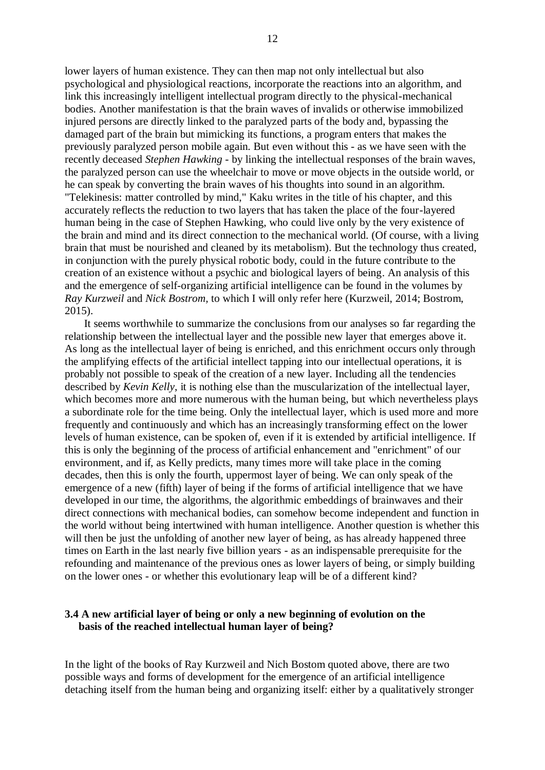lower layers of human existence. They can then map not only intellectual but also psychological and physiological reactions, incorporate the reactions into an algorithm, and link this increasingly intelligent intellectual program directly to the physical-mechanical bodies. Another manifestation is that the brain waves of invalids or otherwise immobilized injured persons are directly linked to the paralyzed parts of the body and, bypassing the damaged part of the brain but mimicking its functions, a program enters that makes the previously paralyzed person mobile again. But even without this - as we have seen with the recently deceased *Stephen Hawking* - by linking the intellectual responses of the brain waves, the paralyzed person can use the wheelchair to move or move objects in the outside world, or he can speak by converting the brain waves of his thoughts into sound in an algorithm. "Telekinesis: matter controlled by mind," Kaku writes in the title of his chapter, and this accurately reflects the reduction to two layers that has taken the place of the four-layered human being in the case of Stephen Hawking, who could live only by the very existence of the brain and mind and its direct connection to the mechanical world. (Of course, with a living brain that must be nourished and cleaned by its metabolism). But the technology thus created, in conjunction with the purely physical robotic body, could in the future contribute to the creation of an existence without a psychic and biological layers of being. An analysis of this and the emergence of self-organizing artificial intelligence can be found in the volumes by *Ray Kurzweil* and *Nick Bostrom,* to which I will only refer here (Kurzweil, 2014; Bostrom, 2015).

 It seems worthwhile to summarize the conclusions from our analyses so far regarding the relationship between the intellectual layer and the possible new layer that emerges above it. As long as the intellectual layer of being is enriched, and this enrichment occurs only through the amplifying effects of the artificial intellect tapping into our intellectual operations, it is probably not possible to speak of the creation of a new layer. Including all the tendencies described by *Kevin Kelly*, it is nothing else than the muscularization of the intellectual layer, which becomes more and more numerous with the human being, but which nevertheless plays a subordinate role for the time being. Only the intellectual layer, which is used more and more frequently and continuously and which has an increasingly transforming effect on the lower levels of human existence, can be spoken of, even if it is extended by artificial intelligence. If this is only the beginning of the process of artificial enhancement and "enrichment" of our environment, and if, as Kelly predicts, many times more will take place in the coming decades, then this is only the fourth, uppermost layer of being. We can only speak of the emergence of a new (fifth) layer of being if the forms of artificial intelligence that we have developed in our time, the algorithms, the algorithmic embeddings of brainwaves and their direct connections with mechanical bodies, can somehow become independent and function in the world without being intertwined with human intelligence. Another question is whether this will then be just the unfolding of another new layer of being, as has already happened three times on Earth in the last nearly five billion years - as an indispensable prerequisite for the refounding and maintenance of the previous ones as lower layers of being, or simply building on the lower ones - or whether this evolutionary leap will be of a different kind?

# **3.4 A new artificial layer of being or only a new beginning of evolution on the basis of the reached intellectual human layer of being?**

In the light of the books of Ray Kurzweil and Nich Bostom quoted above, there are two possible ways and forms of development for the emergence of an artificial intelligence detaching itself from the human being and organizing itself: either by a qualitatively stronger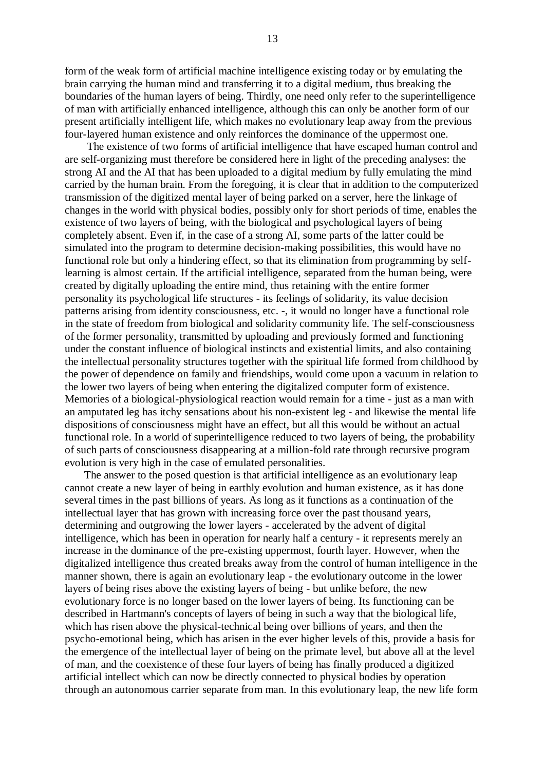form of the weak form of artificial machine intelligence existing today or by emulating the brain carrying the human mind and transferring it to a digital medium, thus breaking the boundaries of the human layers of being. Thirdly, one need only refer to the superintelligence of man with artificially enhanced intelligence, although this can only be another form of our present artificially intelligent life, which makes no evolutionary leap away from the previous four-layered human existence and only reinforces the dominance of the uppermost one.

 The existence of two forms of artificial intelligence that have escaped human control and are self-organizing must therefore be considered here in light of the preceding analyses: the strong AI and the AI that has been uploaded to a digital medium by fully emulating the mind carried by the human brain. From the foregoing, it is clear that in addition to the computerized transmission of the digitized mental layer of being parked on a server, here the linkage of changes in the world with physical bodies, possibly only for short periods of time, enables the existence of two layers of being, with the biological and psychological layers of being completely absent. Even if, in the case of a strong AI, some parts of the latter could be simulated into the program to determine decision-making possibilities, this would have no functional role but only a hindering effect, so that its elimination from programming by selflearning is almost certain. If the artificial intelligence, separated from the human being, were created by digitally uploading the entire mind, thus retaining with the entire former personality its psychological life structures - its feelings of solidarity, its value decision patterns arising from identity consciousness, etc. -, it would no longer have a functional role in the state of freedom from biological and solidarity community life. The self-consciousness of the former personality, transmitted by uploading and previously formed and functioning under the constant influence of biological instincts and existential limits, and also containing the intellectual personality structures together with the spiritual life formed from childhood by the power of dependence on family and friendships, would come upon a vacuum in relation to the lower two layers of being when entering the digitalized computer form of existence. Memories of a biological-physiological reaction would remain for a time - just as a man with an amputated leg has itchy sensations about his non-existent leg - and likewise the mental life dispositions of consciousness might have an effect, but all this would be without an actual functional role. In a world of superintelligence reduced to two layers of being, the probability of such parts of consciousness disappearing at a million-fold rate through recursive program evolution is very high in the case of emulated personalities.

 The answer to the posed question is that artificial intelligence as an evolutionary leap cannot create a new layer of being in earthly evolution and human existence, as it has done several times in the past billions of years. As long as it functions as a continuation of the intellectual layer that has grown with increasing force over the past thousand years, determining and outgrowing the lower layers - accelerated by the advent of digital intelligence, which has been in operation for nearly half a century - it represents merely an increase in the dominance of the pre-existing uppermost, fourth layer. However, when the digitalized intelligence thus created breaks away from the control of human intelligence in the manner shown, there is again an evolutionary leap - the evolutionary outcome in the lower layers of being rises above the existing layers of being - but unlike before, the new evolutionary force is no longer based on the lower layers of being. Its functioning can be described in Hartmann's concepts of layers of being in such a way that the biological life, which has risen above the physical-technical being over billions of years, and then the psycho-emotional being, which has arisen in the ever higher levels of this, provide a basis for the emergence of the intellectual layer of being on the primate level, but above all at the level of man, and the coexistence of these four layers of being has finally produced a digitized artificial intellect which can now be directly connected to physical bodies by operation through an autonomous carrier separate from man. In this evolutionary leap, the new life form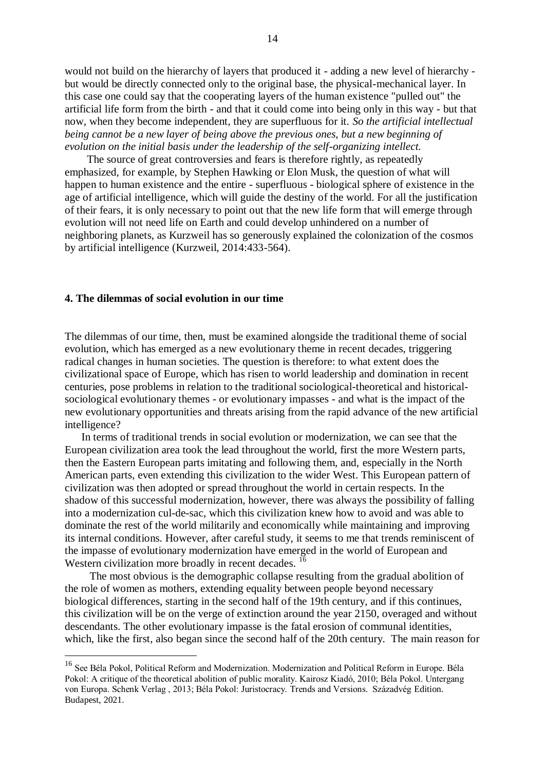would not build on the hierarchy of layers that produced it - adding a new level of hierarchy but would be directly connected only to the original base, the physical-mechanical layer. In this case one could say that the cooperating layers of the human existence "pulled out" the artificial life form from the birth - and that it could come into being only in this way - but that now, when they become independent, they are superfluous for it. *So the artificial intellectual being cannot be a new layer of being above the previous ones, but a new beginning of evolution on the initial basis under the leadership of the self-organizing intellect.*

 The source of great controversies and fears is therefore rightly, as repeatedly emphasized, for example, by Stephen Hawking or Elon Musk, the question of what will happen to human existence and the entire - superfluous - biological sphere of existence in the age of artificial intelligence, which will guide the destiny of the world. For all the justification of their fears, it is only necessary to point out that the new life form that will emerge through evolution will not need life on Earth and could develop unhindered on a number of neighboring planets, as Kurzweil has so generously explained the colonization of the cosmos by artificial intelligence (Kurzweil, 2014:433-564).

# **4. The dilemmas of social evolution in our time**

1

The dilemmas of our time, then, must be examined alongside the traditional theme of social evolution, which has emerged as a new evolutionary theme in recent decades, triggering radical changes in human societies. The question is therefore: to what extent does the civilizational space of Europe, which has risen to world leadership and domination in recent centuries, pose problems in relation to the traditional sociological-theoretical and historicalsociological evolutionary themes - or evolutionary impasses - and what is the impact of the new evolutionary opportunities and threats arising from the rapid advance of the new artificial intelligence?

 In terms of traditional trends in social evolution or modernization, we can see that the European civilization area took the lead throughout the world, first the more Western parts, then the Eastern European parts imitating and following them, and, especially in the North American parts, even extending this civilization to the wider West. This European pattern of civilization was then adopted or spread throughout the world in certain respects. In the shadow of this successful modernization, however, there was always the possibility of falling into a modernization cul-de-sac, which this civilization knew how to avoid and was able to dominate the rest of the world militarily and economically while maintaining and improving its internal conditions. However, after careful study, it seems to me that trends reminiscent of the impasse of evolutionary modernization have emerged in the world of European and Western civilization more broadly in recent decades.<sup>16</sup>

 The most obvious is the demographic collapse resulting from the gradual abolition of the role of women as mothers, extending equality between people beyond necessary biological differences, starting in the second half of the 19th century, and if this continues, this civilization will be on the verge of extinction around the year 2150, overaged and without descendants. The other evolutionary impasse is the fatal erosion of communal identities, which, like the first, also began since the second half of the 20th century. The main reason for

<sup>&</sup>lt;sup>16</sup> See Béla Pokol, Political Reform and Modernization. Modernization and Political Reform in Europe. Béla Pokol: A critique of the theoretical abolition of public morality. Kairosz Kiadó, 2010; Béla Pokol. Untergang von Europa. Schenk Verlag , 2013; Béla Pokol: Juristocracy. Trends and Versions. Századvég Edition. Budapest, 2021.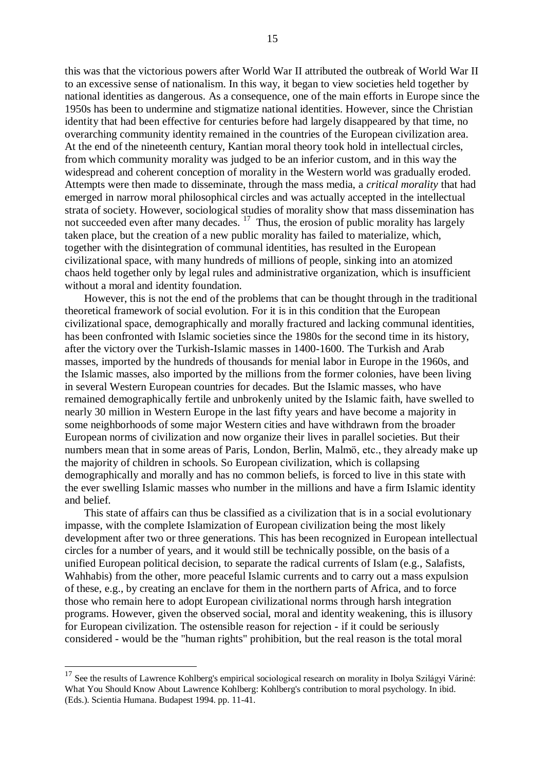this was that the victorious powers after World War II attributed the outbreak of World War II to an excessive sense of nationalism. In this way, it began to view societies held together by national identities as dangerous. As a consequence, one of the main efforts in Europe since the 1950s has been to undermine and stigmatize national identities. However, since the Christian identity that had been effective for centuries before had largely disappeared by that time, no overarching community identity remained in the countries of the European civilization area. At the end of the nineteenth century, Kantian moral theory took hold in intellectual circles, from which community morality was judged to be an inferior custom, and in this way the widespread and coherent conception of morality in the Western world was gradually eroded. Attempts were then made to disseminate, through the mass media, a *critical morality* that had emerged in narrow moral philosophical circles and was actually accepted in the intellectual strata of society. However, sociological studies of morality show that mass dissemination has not succeeded even after many decades.  $17$  Thus, the erosion of public morality has largely taken place, but the creation of a new public morality has failed to materialize, which, together with the disintegration of communal identities, has resulted in the European civilizational space, with many hundreds of millions of people, sinking into an atomized chaos held together only by legal rules and administrative organization, which is insufficient without a moral and identity foundation.

 However, this is not the end of the problems that can be thought through in the traditional theoretical framework of social evolution. For it is in this condition that the European civilizational space, demographically and morally fractured and lacking communal identities, has been confronted with Islamic societies since the 1980s for the second time in its history, after the victory over the Turkish-Islamic masses in 1400-1600. The Turkish and Arab masses, imported by the hundreds of thousands for menial labor in Europe in the 1960s, and the Islamic masses, also imported by the millions from the former colonies, have been living in several Western European countries for decades. But the Islamic masses, who have remained demographically fertile and unbrokenly united by the Islamic faith, have swelled to nearly 30 million in Western Europe in the last fifty years and have become a majority in some neighborhoods of some major Western cities and have withdrawn from the broader European norms of civilization and now organize their lives in parallel societies. But their numbers mean that in some areas of Paris, London, Berlin, Malmö, etc., they already make up the majority of children in schools. So European civilization, which is collapsing demographically and morally and has no common beliefs, is forced to live in this state with the ever swelling Islamic masses who number in the millions and have a firm Islamic identity and belief.

 This state of affairs can thus be classified as a civilization that is in a social evolutionary impasse, with the complete Islamization of European civilization being the most likely development after two or three generations. This has been recognized in European intellectual circles for a number of years, and it would still be technically possible, on the basis of a unified European political decision, to separate the radical currents of Islam (e.g., Salafists, Wahhabis) from the other, more peaceful Islamic currents and to carry out a mass expulsion of these, e.g., by creating an enclave for them in the northern parts of Africa, and to force those who remain here to adopt European civilizational norms through harsh integration programs. However, given the observed social, moral and identity weakening, this is illusory for European civilization. The ostensible reason for rejection - if it could be seriously considered - would be the "human rights" prohibition, but the real reason is the total moral

 $17$  See the results of Lawrence Kohlberg's empirical sociological research on morality in Ibolya Szilágyi Váriné: What You Should Know About Lawrence Kohlberg: Kohlberg's contribution to moral psychology. In ibid. (Eds.). Scientia Humana. Budapest 1994. pp. 11-41.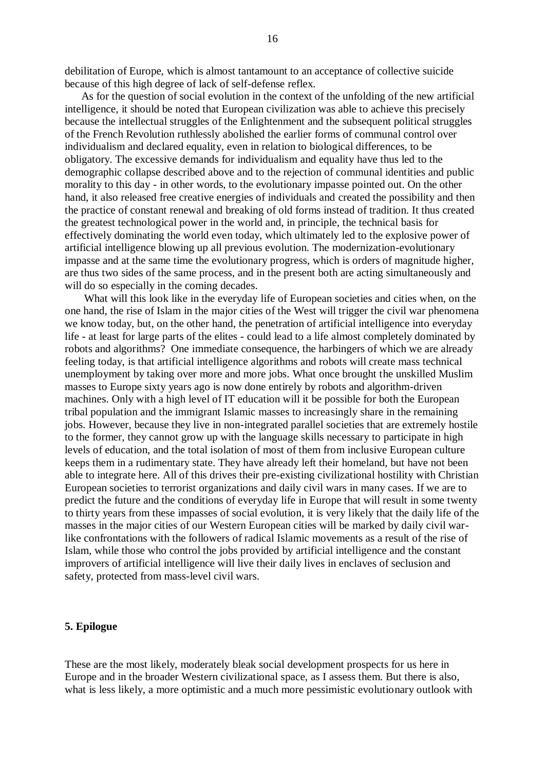debilitation of Europe, which is almost tantamount to an acceptance of collective suicide because of this high degree of lack of self-defense reflex.

 As for the question of social evolution in the context of the unfolding of the new artificial intelligence, it should be noted that European civilization was able to achieve this precisely because the intellectual struggles of the Enlightenment and the subsequent political struggles of the French Revolution ruthlessly abolished the earlier forms of communal control over individualism and declared equality, even in relation to biological differences, to be obligatory. The excessive demands for individualism and equality have thus led to the demographic collapse described above and to the rejection of communal identities and public morality to this day - in other words, to the evolutionary impasse pointed out. On the other hand, it also released free creative energies of individuals and created the possibility and then the practice of constant renewal and breaking of old forms instead of tradition. It thus created the greatest technological power in the world and, in principle, the technical basis for effectively dominating the world even today, which ultimately led to the explosive power of artificial intelligence blowing up all previous evolution. The modernization-evolutionary impasse and at the same time the evolutionary progress, which is orders of magnitude higher, are thus two sides of the same process, and in the present both are acting simultaneously and will do so especially in the coming decades.

 What will this look like in the everyday life of European societies and cities when, on the one hand, the rise of Islam in the major cities of the West will trigger the civil war phenomena we know today, but, on the other hand, the penetration of artificial intelligence into everyday life - at least for large parts of the elites - could lead to a life almost completely dominated by robots and algorithms? One immediate consequence, the harbingers of which we are already feeling today, is that artificial intelligence algorithms and robots will create mass technical unemployment by taking over more and more jobs. What once brought the unskilled Muslim masses to Europe sixty years ago is now done entirely by robots and algorithm-driven machines. Only with a high level of IT education will it be possible for both the European tribal population and the immigrant Islamic masses to increasingly share in the remaining jobs. However, because they live in non-integrated parallel societies that are extremely hostile to the former, they cannot grow up with the language skills necessary to participate in high levels of education, and the total isolation of most of them from inclusive European culture keeps them in a rudimentary state. They have already left their homeland, but have not been able to integrate here. All of this drives their pre-existing civilizational hostility with Christian European societies to terrorist organizations and daily civil wars in many cases. If we are to predict the future and the conditions of everyday life in Europe that will result in some twenty to thirty years from these impasses of social evolution, it is very likely that the daily life of the masses in the major cities of our Western European cities will be marked by daily civil warlike confrontations with the followers of radical Islamic movements as a result of the rise of Islam, while those who control the jobs provided by artificial intelligence and the constant improvers of artificial intelligence will live their daily lives in enclaves of seclusion and safety, protected from mass-level civil wars.

#### **5. Epilogue**

These are the most likely, moderately bleak social development prospects for us here in Europe and in the broader Western civilizational space, as I assess them. But there is also, what is less likely, a more optimistic and a much more pessimistic evolutionary outlook with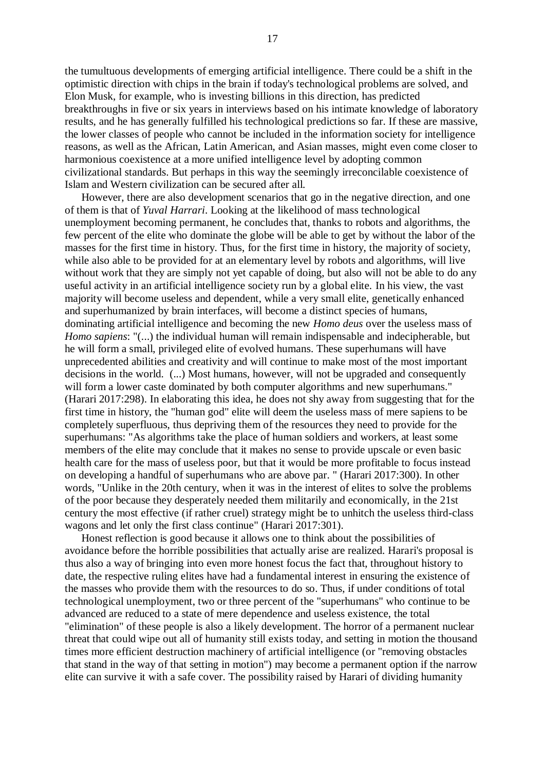the tumultuous developments of emerging artificial intelligence. There could be a shift in the optimistic direction with chips in the brain if today's technological problems are solved, and Elon Musk, for example, who is investing billions in this direction, has predicted breakthroughs in five or six years in interviews based on his intimate knowledge of laboratory results, and he has generally fulfilled his technological predictions so far. If these are massive, the lower classes of people who cannot be included in the information society for intelligence reasons, as well as the African, Latin American, and Asian masses, might even come closer to harmonious coexistence at a more unified intelligence level by adopting common civilizational standards. But perhaps in this way the seemingly irreconcilable coexistence of Islam and Western civilization can be secured after all.

 However, there are also development scenarios that go in the negative direction, and one of them is that of *Yuval Harrari*. Looking at the likelihood of mass technological unemployment becoming permanent, he concludes that, thanks to robots and algorithms, the few percent of the elite who dominate the globe will be able to get by without the labor of the masses for the first time in history. Thus, for the first time in history, the majority of society, while also able to be provided for at an elementary level by robots and algorithms, will live without work that they are simply not yet capable of doing, but also will not be able to do any useful activity in an artificial intelligence society run by a global elite. In his view, the vast majority will become useless and dependent, while a very small elite, genetically enhanced and superhumanized by brain interfaces, will become a distinct species of humans, dominating artificial intelligence and becoming the new *Homo deus* over the useless mass of *Homo sapiens*: "(...) the individual human will remain indispensable and indecipherable, but he will form a small, privileged elite of evolved humans. These superhumans will have unprecedented abilities and creativity and will continue to make most of the most important decisions in the world. (...) Most humans, however, will not be upgraded and consequently will form a lower caste dominated by both computer algorithms and new superhumans." (Harari 2017:298). In elaborating this idea, he does not shy away from suggesting that for the first time in history, the "human god" elite will deem the useless mass of mere sapiens to be completely superfluous, thus depriving them of the resources they need to provide for the superhumans: "As algorithms take the place of human soldiers and workers, at least some members of the elite may conclude that it makes no sense to provide upscale or even basic health care for the mass of useless poor, but that it would be more profitable to focus instead on developing a handful of superhumans who are above par. " (Harari 2017:300). In other words, "Unlike in the 20th century, when it was in the interest of elites to solve the problems of the poor because they desperately needed them militarily and economically, in the 21st century the most effective (if rather cruel) strategy might be to unhitch the useless third-class wagons and let only the first class continue" (Harari 2017:301).

 Honest reflection is good because it allows one to think about the possibilities of avoidance before the horrible possibilities that actually arise are realized. Harari's proposal is thus also a way of bringing into even more honest focus the fact that, throughout history to date, the respective ruling elites have had a fundamental interest in ensuring the existence of the masses who provide them with the resources to do so. Thus, if under conditions of total technological unemployment, two or three percent of the "superhumans" who continue to be advanced are reduced to a state of mere dependence and useless existence, the total "elimination" of these people is also a likely development. The horror of a permanent nuclear threat that could wipe out all of humanity still exists today, and setting in motion the thousand times more efficient destruction machinery of artificial intelligence (or "removing obstacles that stand in the way of that setting in motion") may become a permanent option if the narrow elite can survive it with a safe cover. The possibility raised by Harari of dividing humanity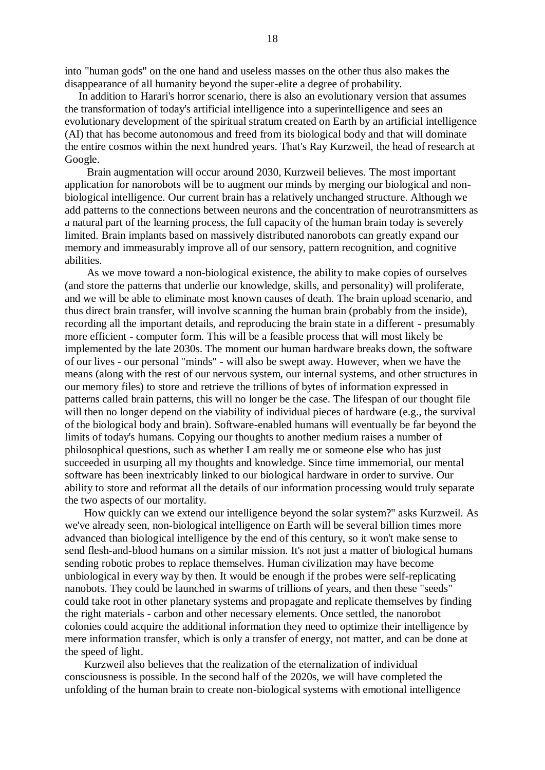into "human gods" on the one hand and useless masses on the other thus also makes the disappearance of all humanity beyond the super-elite a degree of probability.

 In addition to Harari's horror scenario, there is also an evolutionary version that assumes the transformation of today's artificial intelligence into a superintelligence and sees an evolutionary development of the spiritual stratum created on Earth by an artificial intelligence (AI) that has become autonomous and freed from its biological body and that will dominate the entire cosmos within the next hundred years. That's Ray Kurzweil, the head of research at Google.

 Brain augmentation will occur around 2030, Kurzweil believes. The most important application for nanorobots will be to augment our minds by merging our biological and nonbiological intelligence. Our current brain has a relatively unchanged structure. Although we add patterns to the connections between neurons and the concentration of neurotransmitters as a natural part of the learning process, the full capacity of the human brain today is severely limited. Brain implants based on massively distributed nanorobots can greatly expand our memory and immeasurably improve all of our sensory, pattern recognition, and cognitive abilities.

 As we move toward a non-biological existence, the ability to make copies of ourselves (and store the patterns that underlie our knowledge, skills, and personality) will proliferate, and we will be able to eliminate most known causes of death. The brain upload scenario, and thus direct brain transfer, will involve scanning the human brain (probably from the inside), recording all the important details, and reproducing the brain state in a different - presumably more efficient - computer form. This will be a feasible process that will most likely be implemented by the late 2030s. The moment our human hardware breaks down, the software of our lives - our personal "minds" - will also be swept away. However, when we have the means (along with the rest of our nervous system, our internal systems, and other structures in our memory files) to store and retrieve the trillions of bytes of information expressed in patterns called brain patterns, this will no longer be the case. The lifespan of our thought file will then no longer depend on the viability of individual pieces of hardware (e.g., the survival of the biological body and brain). Software-enabled humans will eventually be far beyond the limits of today's humans. Copying our thoughts to another medium raises a number of philosophical questions, such as whether I am really me or someone else who has just succeeded in usurping all my thoughts and knowledge. Since time immemorial, our mental software has been inextricably linked to our biological hardware in order to survive. Our ability to store and reformat all the details of our information processing would truly separate the two aspects of our mortality.

 How quickly can we extend our intelligence beyond the solar system?" asks Kurzweil. As we've already seen, non-biological intelligence on Earth will be several billion times more advanced than biological intelligence by the end of this century, so it won't make sense to send flesh-and-blood humans on a similar mission. It's not just a matter of biological humans sending robotic probes to replace themselves. Human civilization may have become unbiological in every way by then. It would be enough if the probes were self-replicating nanobots. They could be launched in swarms of trillions of years, and then these "seeds" could take root in other planetary systems and propagate and replicate themselves by finding the right materials - carbon and other necessary elements. Once settled, the nanorobot colonies could acquire the additional information they need to optimize their intelligence by mere information transfer, which is only a transfer of energy, not matter, and can be done at the speed of light.

 Kurzweil also believes that the realization of the eternalization of individual consciousness is possible. In the second half of the 2020s, we will have completed the unfolding of the human brain to create non-biological systems with emotional intelligence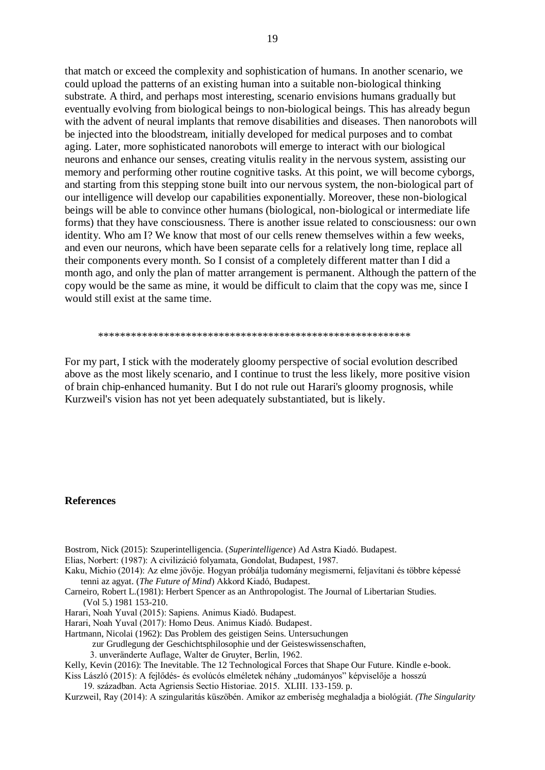that match or exceed the complexity and sophistication of humans. In another scenario, we could upload the patterns of an existing human into a suitable non-biological thinking substrate. A third, and perhaps most interesting, scenario envisions humans gradually but eventually evolving from biological beings to non-biological beings. This has already begun with the advent of neural implants that remove disabilities and diseases. Then nanorobots will be injected into the bloodstream, initially developed for medical purposes and to combat aging. Later, more sophisticated nanorobots will emerge to interact with our biological neurons and enhance our senses, creating vitulis reality in the nervous system, assisting our memory and performing other routine cognitive tasks. At this point, we will become cyborgs, and starting from this stepping stone built into our nervous system, the non-biological part of our intelligence will develop our capabilities exponentially. Moreover, these non-biological beings will be able to convince other humans (biological, non-biological or intermediate life forms) that they have consciousness. There is another issue related to consciousness: our own identity. Who am I? We know that most of our cells renew themselves within a few weeks, and even our neurons, which have been separate cells for a relatively long time, replace all their components every month. So I consist of a completely different matter than I did a month ago, and only the plan of matter arrangement is permanent. Although the pattern of the copy would be the same as mine, it would be difficult to claim that the copy was me, since I would still exist at the same time.

#### \*\*\*\*\*\*\*\*\*\*\*\*\*\*\*\*\*\*\*\*\*\*\*\*\*\*\*\*\*\*\*\*\*\*\*\*\*\*\*\*\*\*\*\*\*\*\*\*\*\*\*\*\*\*\*\*\*

For my part, I stick with the moderately gloomy perspective of social evolution described above as the most likely scenario, and I continue to trust the less likely, more positive vision of brain chip-enhanced humanity. But I do not rule out Harari's gloomy prognosis, while Kurzweil's vision has not yet been adequately substantiated, but is likely.

### **References**

- Bostrom, Nick (2015): Szuperintelligencia. (*Superintelligence*) Ad Astra Kiadó. Budapest.
- Elias, Norbert: (1987): A civilizáció folyamata, Gondolat, Budapest, 1987.
- Kaku, Michio (2014): Az elme jövője. Hogyan próbálja tudomány megismerni, feljavítani és többre képessé tenni az agyat. (*The Future of Mind*) Akkord Kiadó, Budapest.
- Carneiro, Robert L.(1981): Herbert Spencer as an Anthropologist. The Journal of Libertarian Studies. (Vol 5.) 1981 153-210.
- Harari, Noah Yuval (2015): Sapiens. Animus Kiadó. Budapest.
- Harari, Noah Yuval (2017): Homo Deus. Animus Kiadó. Budapest.
- Hartmann, Nicolai (1962): Das Problem des geistigen Seins. Untersuchungen
	- zur Grudlegung der Geschichtsphilosophie und der Geisteswissenschaften,
		- 3. unveränderte Auflage, Walter de Gruyter, Berlin, 1962.
- Kelly, Kevin (2016): The Inevitable. The 12 Technological Forces that Shape Our Future. Kindle e-book.
- Kiss László (2015): A fejlődés- és evolúcós elméletek néhány "tudományos" képviselője a hosszú 19. században. Acta Agriensis Sectio Historiae. 2015. XLIII. 133-159. p.
- Kurzweil, Ray (2014): A szingularitás küszöbén. Amikor az emberiség meghaladja a biológiát. *(The Singularity*